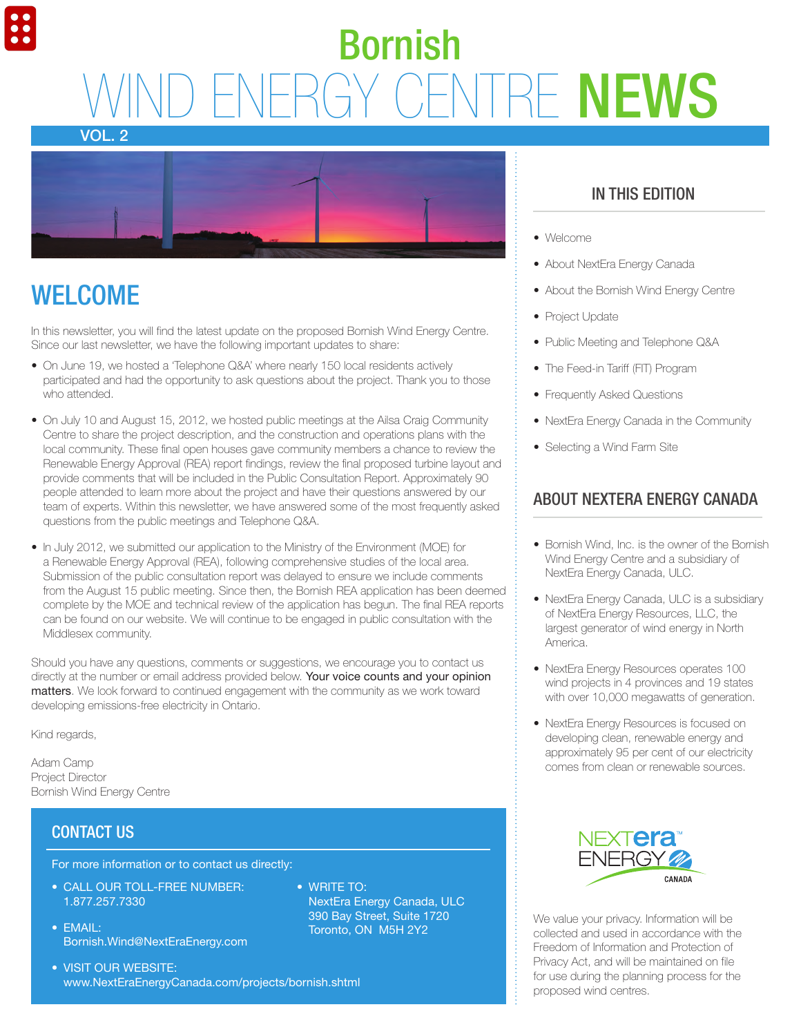# **WIGENTRE NEWS** Bornish





### **WELCOME**

In this newsletter, you will find the latest update on the proposed Bornish Wind Energy Centre. Since our last newsletter, we have the following important updates to share:

- On June 19, we hosted a 'Telephone Q&A' where nearly 150 local residents actively participated and had the opportunity to ask questions about the project. Thank you to those who attended.
- On July 10 and August 15, 2012, we hosted public meetings at the Ailsa Craig Community Centre to share the project description, and the construction and operations plans with the local community. These final open houses gave community members a chance to review the Renewable Energy Approval (REA) report findings, review the final proposed turbine layout and provide comments that will be included in the Public Consultation Report. Approximately 90 people attended to learn more about the project and have their questions answered by our team of experts. Within this newsletter, we have answered some of the most frequently asked questions from the public meetings and Telephone Q&A.
- In July 2012, we submitted our application to the Ministry of the Environment (MOE) for a Renewable Energy Approval (REA), following comprehensive studies of the local area. Submission of the public consultation report was delayed to ensure we include comments from the August 15 public meeting. Since then, the Bornish REA application has been deemed complete by the MOE and technical review of the application has begun. The final REA reports can be found on our website. We will continue to be engaged in public consultation with the Middlesex community.

Should you have any questions, comments or suggestions, we encourage you to contact us directly at the number or email address provided below. Your voice counts and your opinion matters. We look forward to continued engagement with the community as we work toward developing emissions-free electricity in Ontario.

 $\bullet$  WRITE TO:

NextEra Energy Canada, ULC 390 Bay Street, Suite 1720 Toronto, ON M5H 2Y2

Kind regards,

Adam Camp Project Director Bornish Wind Energy Centre

#### CONTACT US

For more information or to contact us directly:

- CALL OUR TOLL-FREE NUMBER: 1.877.257.7330
- $\bullet$  FMAII: Bornish.Wind@NextEraEnergy.com
- VISIT OUR WEBSITE: www.NextEraEnergyCanada.com/projects/bornish.shtml
- In this Edition
- Welcome
- About NextEra Energy Canada
- About the Bornish Wind Energy Centre
- Project Update
- Public Meeting and Telephone Q&A
- The Feed-in Tariff (FIT) Program
- Frequently Asked Questions
- NextEra Energy Canada in the Community
- Selecting a Wind Farm Site

### About NextEra Energy Canada

- Bornish Wind, Inc. is the owner of the Bornish Wind Energy Centre and a subsidiary of NextEra Energy Canada, ULC.
- NextEra Energy Canada, ULC is a subsidiary of NextEra Energy Resources, LLC, the largest generator of wind energy in North America.
- NextEra Energy Resources operates 100 wind projects in 4 provinces and 19 states with over 10,000 megawatts of generation.
- NextEra Energy Resources is focused on developing clean, renewable energy and approximately 95 per cent of our electricity comes from clean or renewable sources.



We value your privacy. Information will be collected and used in accordance with the Freedom of Information and Protection of Privacy Act, and will be maintained on file for use during the planning process for the proposed wind centres.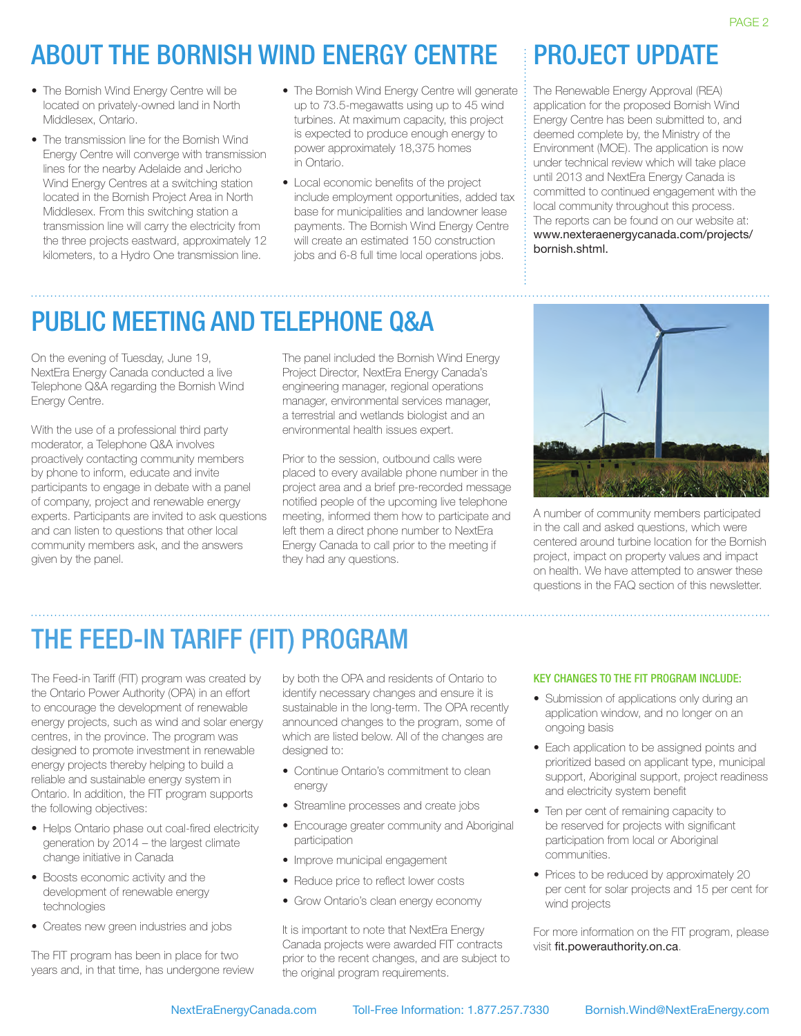## About the BORNISH Wind Energy Centre

- The Bornish Wind Energy Centre will be located on privately-owned land in North Middlesex, Ontario.
- The transmission line for the Bornish Wind Energy Centre will converge with transmission lines for the nearby Adelaide and Jericho Wind Energy Centres at a switching station located in the Bornish Project Area in North Middlesex. From this switching station a transmission line will carry the electricity from the three projects eastward, approximately 12 kilometers, to a Hydro One transmission line.
- The Bornish Wind Energy Centre will generate up to 73.5-megawatts using up to 45 wind turbines. At maximum capacity, this project is expected to produce enough energy to power approximately 18,375 homes in Ontario.
- Local economic benefits of the project include employment opportunities, added tax base for municipalities and landowner lease payments. The Bornish Wind Energy Centre will create an estimated 150 construction jobs and 6-8 full time local operations jobs.

### PROJECT UPDATE

The Renewable Energy Approval (REA) application for the proposed Bornish Wind Energy Centre has been submitted to, and deemed complete by, the Ministry of the Environment (MOE). The application is now under technical review which will take place until 2013 and NextEra Energy Canada is committed to continued engagement with the local community throughout this process. The reports can be found on our website at: www.nexteraenergycanada.com/projects/ bornish.shtml.

### PUBLIC MEETING AND Telephone Q&A

On the evening of Tuesday, June 19, NextEra Energy Canada conducted a live Telephone Q&A regarding the Bornish Wind Energy Centre.

With the use of a professional third party moderator, a Telephone Q&A involves proactively contacting community members by phone to inform, educate and invite participants to engage in debate with a panel of company, project and renewable energy experts. Participants are invited to ask questions and can listen to questions that other local community members ask, and the answers given by the panel.

The panel included the Bornish Wind Energy Project Director, NextEra Energy Canada's engineering manager, regional operations manager, environmental services manager, a terrestrial and wetlands biologist and an environmental health issues expert.

Prior to the session, outbound calls were placed to every available phone number in the project area and a brief pre-recorded message notified people of the upcoming live telephone meeting, informed them how to participate and left them a direct phone number to NextEra Energy Canada to call prior to the meeting if they had any questions.



A number of community members participated in the call and asked questions, which were centered around turbine location for the Bornish project, impact on property values and impact on health. We have attempted to answer these questions in the FAQ section of this newsletter.

## The Feed-in Tariff (FIT) Program

The Feed-in Tariff (FIT) program was created by the Ontario Power Authority (OPA) in an effort to encourage the development of renewable energy projects, such as wind and solar energy centres, in the province. The program was designed to promote investment in renewable energy projects thereby helping to build a reliable and sustainable energy system in Ontario. In addition, the FIT program supports the following objectives:

- Helps Ontario phase out coal-fired electricity generation by 2014 – the largest climate change initiative in Canada
- Boosts economic activity and the development of renewable energy technologies
- Creates new green industries and jobs

The FIT program has been in place for two years and, in that time, has undergone review

by both the OPA and residents of Ontario to identify necessary changes and ensure it is sustainable in the long-term. The OPA recently announced changes to the program, some of which are listed below. All of the changes are designed to:

- Continue Ontario's commitment to clean energy
- Streamline processes and create jobs
- Encourage greater community and Aboriginal participation
- Improve municipal engagement
- Reduce price to reflect lower costs
- Grow Ontario's clean energy economy

It is important to note that NextEra Energy Canada projects were awarded FIT contracts prior to the recent changes, and are subject to the original program requirements.

#### Key changes to the FIT Program include:

- Submission of applications only during an application window, and no longer on an ongoing basis
- Each application to be assigned points and prioritized based on applicant type, municipal support, Aboriginal support, project readiness and electricity system benefit
- Ten per cent of remaining capacity to be reserved for projects with significant participation from local or Aboriginal communities.
- Prices to be reduced by approximately 20 per cent for solar projects and 15 per cent for wind projects

For more information on the FIT program, please visit fit.powerauthority.on.ca.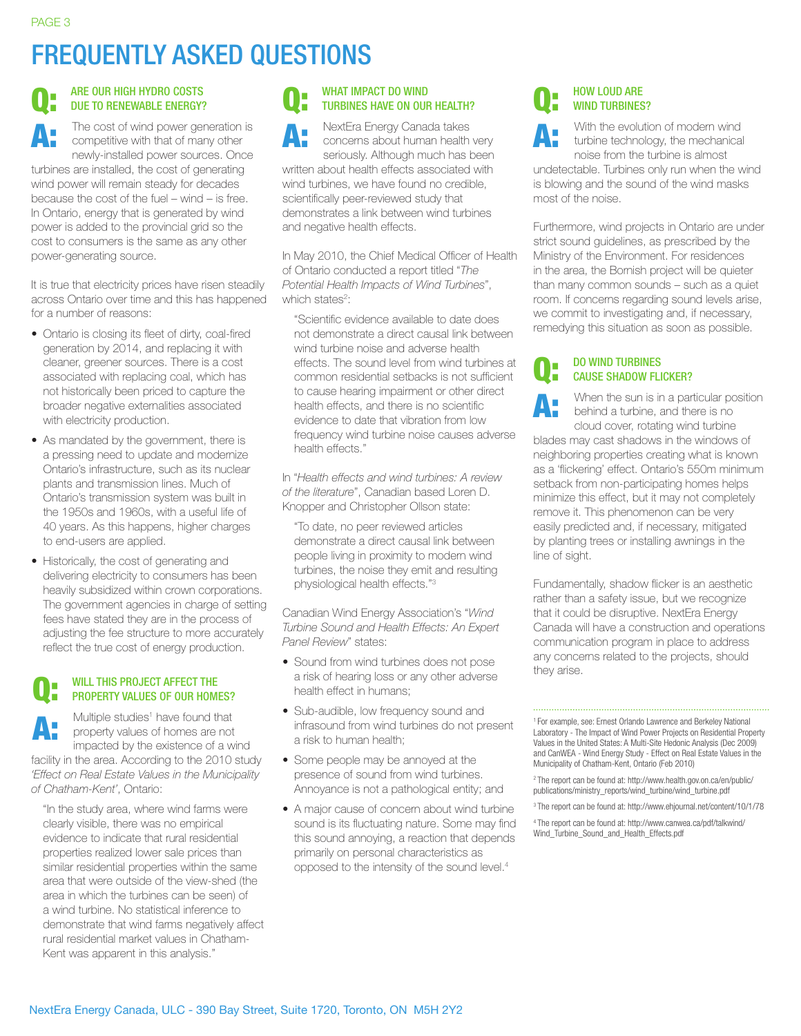### Frequently Asked Questions

#### Are our high hydro costs due to renewable energy? Q:

The cost of wind power generation is competitive with that of many other newly-installed power sources. Once turbines are installed, the cost of generating wind power will remain steady for decades because the cost of the fuel – wind – is free. In Ontario, energy that is generated by wind power is added to the provincial grid so the cost to consumers is the same as any other power-generating source. A:

It is true that electricity prices have risen steadily across Ontario over time and this has happened for a number of reasons:

- Ontario is closing its fleet of dirty, coal-fired generation by 2014, and replacing it with cleaner, greener sources. There is a cost associated with replacing coal, which has not historically been priced to capture the broader negative externalities associated with electricity production.
- As mandated by the government, there is a pressing need to update and modernize Ontario's infrastructure, such as its nuclear plants and transmission lines. Much of Ontario's transmission system was built in the 1950s and 1960s, with a useful life of 40 years. As this happens, higher charges to end-users are applied.
- Historically, the cost of generating and delivering electricity to consumers has been heavily subsidized within crown corporations. The government agencies in charge of setting fees have stated they are in the process of adjusting the fee structure to more accurately reflect the true cost of energy production.

#### WILL THIS PROJECT AFFECT THE property values of our homes? Q:

Multiple studies<sup>1</sup> have found that property values of homes are not impacted by the existence of a wind facility in the area. According to the 2010 study *'Effect on Real Estate Values in the Municipality of Chatham-Kent'*, Ontario: A:

"In the study area, where wind farms were clearly visible, there was no empirical evidence to indicate that rural residential properties realized lower sale prices than similar residential properties within the same area that were outside of the view-shed (the area in which the turbines can be seen) of a wind turbine. No statistical inference to demonstrate that wind farms negatively affect rural residential market values in Chatham-Kent was apparent in this analysis."

#### Q: WHAT IMPACT DO WIND turbines have on our health?

A: NextEra Energy Canada takes concerns about human health very seriously. Although much has been

written about health effects associated with wind turbines, we have found no credible, scientifically peer-reviewed study that demonstrates a link between wind turbines and negative health effects.

In May 2010, the Chief Medical Officer of Health of Ontario conducted a report titled "*The Potential Health Impacts of Wind Turbines*", which states<sup>2</sup>:

"Scientific evidence available to date does not demonstrate a direct causal link between wind turbine noise and adverse health effects. The sound level from wind turbines at common residential setbacks is not sufficient to cause hearing impairment or other direct health effects, and there is no scientific evidence to date that vibration from low frequency wind turbine noise causes adverse health effects."

In "*Health effects and wind turbines: A review of the literature*", Canadian based Loren D. Knopper and Christopher Ollson state:

"To date, no peer reviewed articles demonstrate a direct causal link between people living in proximity to modern wind turbines, the noise they emit and resulting physiological health effects."<sup>3</sup>

Canadian Wind Energy Association's "*Wind Turbine Sound and Health Effects: An Expert Panel Review*" states:

- Sound from wind turbines does not pose a risk of hearing loss or any other adverse health effect in humans;
- Sub-audible, low frequency sound and infrasound from wind turbines do not present a risk to human health;
- Some people may be annoyed at the presence of sound from wind turbines. Annoyance is not a pathological entity; and
- A major cause of concern about wind turbine sound is its fluctuating nature. Some may find this sound annoying, a reaction that depends primarily on personal characteristics as opposed to the intensity of the sound level.4

#### Q: **HOW LOUD ARE** WIND TURBINES?

A: With the evolution of modern wind turbine technology, the mechanical noise from the turbine is almost

undetectable. Turbines only run when the wind is blowing and the sound of the wind masks most of the noise.

Furthermore, wind projects in Ontario are under strict sound guidelines, as prescribed by the Ministry of the Environment. For residences in the area, the Bornish project will be quieter than many common sounds – such as a quiet room. If concerns regarding sound levels arise, we commit to investigating and, if necessary, remedying this situation as soon as possible.

#### Do wind turbines cause shadow flicker? Q:

When the sun is in a particular position behind a turbine, and there is no cloud cover, rotating wind turbine blades may cast shadows in the windows of neighboring properties creating what is known as a 'flickering' effect. Ontario's 550m minimum setback from non-participating homes helps minimize this effect, but it may not completely remove it. This phenomenon can be very easily predicted and, if necessary, mitigated by planting trees or installing awnings in the line of sight. A:

Fundamentally, shadow flicker is an aesthetic rather than a safety issue, but we recognize that it could be disruptive. NextEra Energy Canada will have a construction and operations communication program in place to address any concerns related to the projects, should they arise.

1 For example, see: Ernest Orlando Lawrence and Berkeley National Laboratory - The Impact of Wind Power Projects on Residential Property Values in the United States: A Multi-Site Hedonic Analysis (Dec 2009) and CanWEA - Wind Energy Study - Effect on Real Estate Values in the Municipality of Chatham-Kent, Ontario (Feb 2010)

2 The report can be found at: http://www.health.gov.on.ca/en/public/ publications/ministry\_reports/wind\_turbine/wind\_turbine.pdf

3 The report can be found at: http://www.ehjournal.net/content/10/1/78

4 The report can be found at: http://www.canwea.ca/pdf/talkwind/ Wind\_Turbine\_Sound\_and\_Health\_Effects.pdf